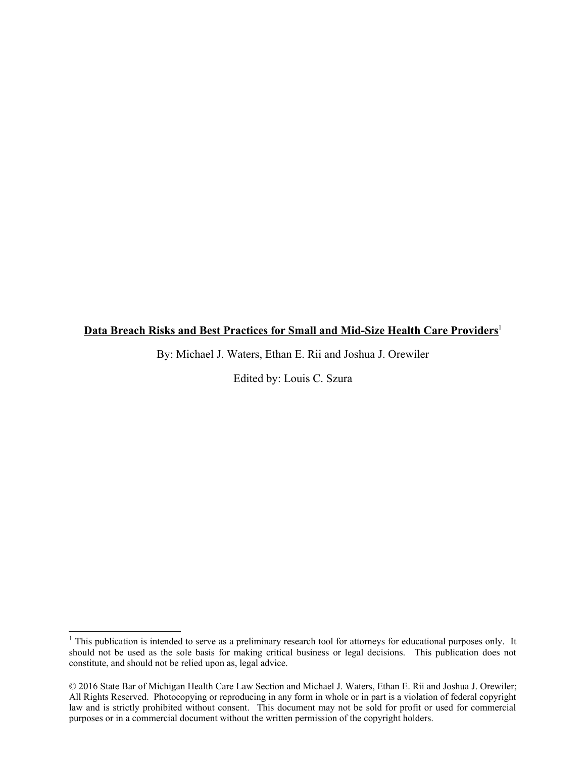# **Data Breach Risks and Best Practices for Small and Mid-Size Health Care Providers**<sup>1</sup>

By: Michael J. Waters, Ethan E. Rii and Joshua J. Orewiler

Edited by: Louis C. Szura

 $<sup>1</sup>$  This publication is intended to serve as a preliminary research tool for attorneys for educational purposes only. It</sup> should not be used as the sole basis for making critical business or legal decisions. This publication does not constitute, and should not be relied upon as, legal advice.

<sup>© 2016</sup> State Bar of Michigan Health Care Law Section and Michael J. Waters, Ethan E. Rii and Joshua J. Orewiler; All Rights Reserved. Photocopying or reproducing in any form in whole or in part is a violation of federal copyright law and is strictly prohibited without consent. This document may not be sold for profit or used for commercial purposes or in a commercial document without the written permission of the copyright holders.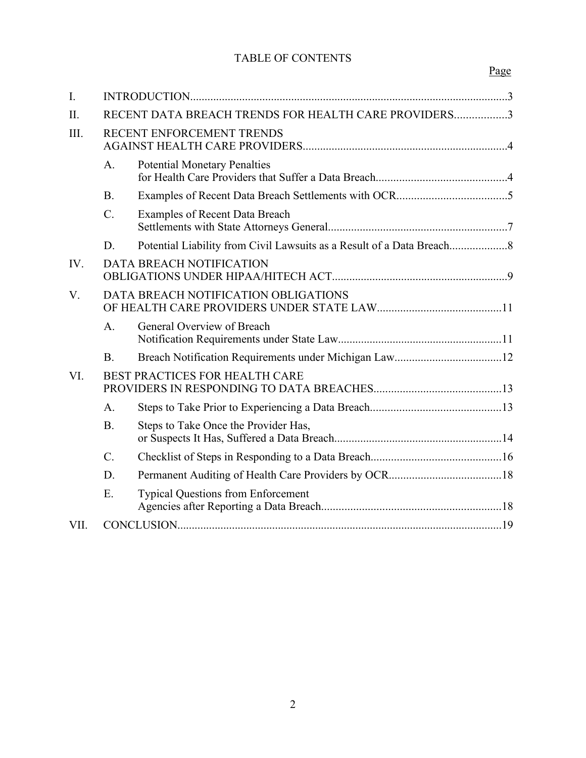# TABLE OF CONTENTS

# Page

| I.   |                                                      |                                           |  |
|------|------------------------------------------------------|-------------------------------------------|--|
| II.  | RECENT DATA BREACH TRENDS FOR HEALTH CARE PROVIDERS3 |                                           |  |
| III. | RECENT ENFORCEMENT TRENDS                            |                                           |  |
|      | $\mathbf{A}$ .                                       | <b>Potential Monetary Penalties</b>       |  |
|      | B.                                                   |                                           |  |
|      | $C$ .                                                | <b>Examples of Recent Data Breach</b>     |  |
|      | D.                                                   |                                           |  |
| IV.  |                                                      | <b>DATA BREACH NOTIFICATION</b>           |  |
| V.   | DATA BREACH NOTIFICATION OBLIGATIONS                 |                                           |  |
|      | A <sub>1</sub>                                       | General Overview of Breach                |  |
|      | <b>B</b> .                                           |                                           |  |
| VI.  | <b>BEST PRACTICES FOR HEALTH CARE</b>                |                                           |  |
|      | $\mathbf{A}$ .                                       |                                           |  |
|      | B.                                                   | Steps to Take Once the Provider Has,      |  |
|      | $\mathcal{C}$ .                                      |                                           |  |
|      | D.                                                   |                                           |  |
|      | Ε.                                                   | <b>Typical Questions from Enforcement</b> |  |
| VII. |                                                      |                                           |  |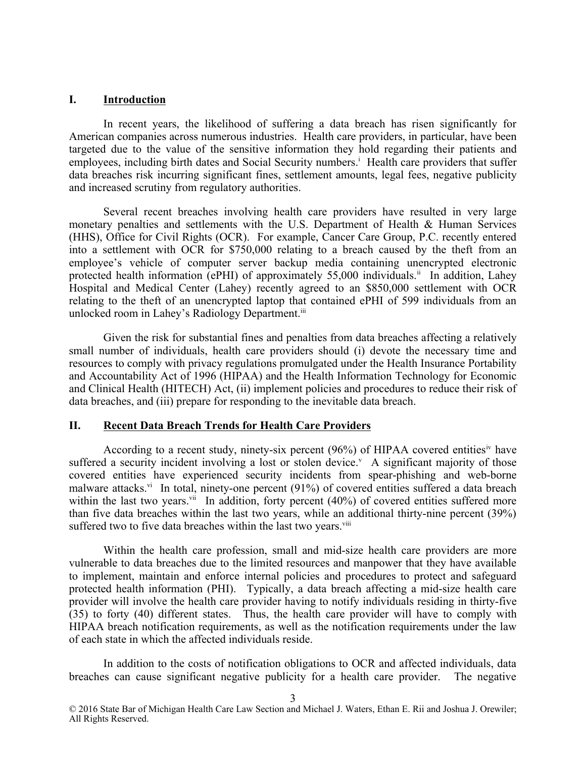#### **I. Introduction**

In recent years, the likelihood of suffering a data breach has risen significantly for American companies across numerous industries. Health care providers, in particular, have been targeted due to the value of the sensitive information they hold regarding their patients and employees, including birth dates and Social Security numbers.<sup>i</sup> Health care providers that suffer data breaches risk incurring significant fines, settlement amounts, legal fees, negative publicity and increased scrutiny from regulatory authorities.

Several recent breaches involving health care providers have resulted in very large monetary penalties and settlements with the U.S. Department of Health & Human Services (HHS), Office for Civil Rights (OCR). For example, Cancer Care Group, P.C. recently entered into a settlement with OCR for \$750,000 relating to a breach caused by the theft from an employee's vehicle of computer server backup media containing unencrypted electronic protected health information (ePHI) of approximately 55,000 individuals.<sup>ii</sup> In addition, Lahey Hospital and Medical Center (Lahey) recently agreed to an \$850,000 settlement with OCR relating to the theft of an unencrypted laptop that contained ePHI of 599 individuals from an unlocked room in Lahey's Radiology Department.<sup>iii</sup>

Given the risk for substantial fines and penalties from data breaches affecting a relatively small number of individuals, health care providers should (i) devote the necessary time and resources to comply with privacy regulations promulgated under the Health Insurance Portability and Accountability Act of 1996 (HIPAA) and the Health Information Technology for Economic and Clinical Health (HITECH) Act, (ii) implement policies and procedures to reduce their risk of data breaches, and (iii) prepare for responding to the inevitable data breach.

#### **II. Recent Data Breach Trends for Health Care Providers**

According to a recent study, ninety-six percent  $(96%)$  of HIPAA covered entities<sup>iv</sup> have suffered a security incident involving a lost or stolen device. $\mathbf{v}$  A significant majority of those covered entities have experienced security incidents from spear-phishing and web-borne malware attacks.<sup>vi</sup> In total, ninety-one percent (91%) of covered entities suffered a data breach within the last two years. $vii$  In addition, forty percent (40%) of covered entities suffered more than five data breaches within the last two years, while an additional thirty-nine percent (39%) suffered two to five data breaches within the last two years.<sup>viii</sup>

Within the health care profession, small and mid-size health care providers are more vulnerable to data breaches due to the limited resources and manpower that they have available to implement, maintain and enforce internal policies and procedures to protect and safeguard protected health information (PHI). Typically, a data breach affecting a mid-size health care provider will involve the health care provider having to notify individuals residing in thirty-five (35) to forty (40) different states. Thus, the health care provider will have to comply with HIPAA breach notification requirements, as well as the notification requirements under the law of each state in which the affected individuals reside.

In addition to the costs of notification obligations to OCR and affected individuals, data breaches can cause significant negative publicity for a health care provider. The negative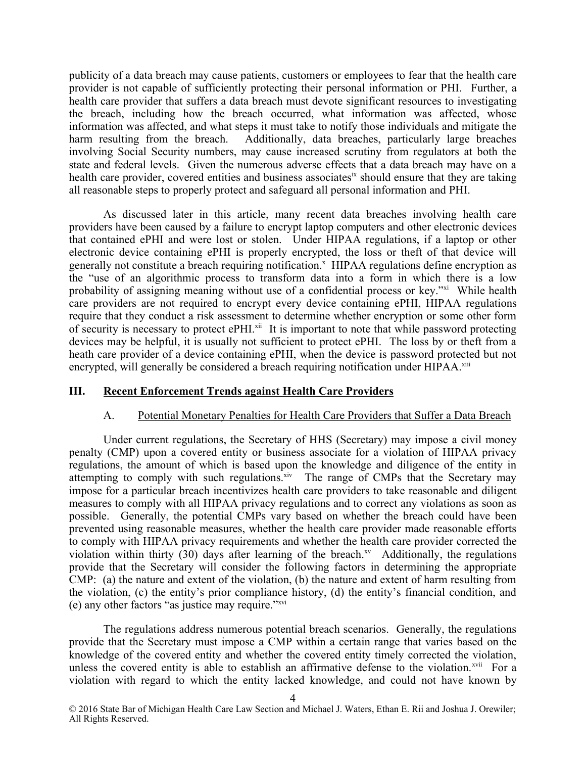publicity of a data breach may cause patients, customers or employees to fear that the health care provider is not capable of sufficiently protecting their personal information or PHI. Further, a health care provider that suffers a data breach must devote significant resources to investigating the breach, including how the breach occurred, what information was affected, whose information was affected, and what steps it must take to notify those individuals and mitigate the harm resulting from the breach. Additionally, data breaches, particularly large breaches involving Social Security numbers, may cause increased scrutiny from regulators at both the state and federal levels. Given the numerous adverse effects that a data breach may have on a health care provider, covered entities and business associates<sup>ix</sup> should ensure that they are taking all reasonable steps to properly protect and safeguard all personal information and PHI.

As discussed later in this article, many recent data breaches involving health care providers have been caused by a failure to encrypt laptop computers and other electronic devices that contained ePHI and were lost or stolen. Under HIPAA regulations, if a laptop or other electronic device containing ePHI is properly encrypted, the loss or theft of that device will generally not constitute a breach requiring notification.<sup>x</sup> HIPAA regulations define encryption as the "use of an algorithmic process to transform data into a form in which there is a low probability of assigning meaning without use of a confidential process or key."xi While health care providers are not required to encrypt every device containing ePHI, HIPAA regulations require that they conduct a risk assessment to determine whether encryption or some other form of security is necessary to protect ePHI.<sup>xii</sup> It is important to note that while password protecting devices may be helpful, it is usually not sufficient to protect ePHI. The loss by or theft from a heath care provider of a device containing ePHI, when the device is password protected but not encrypted, will generally be considered a breach requiring notification under HIPAA.<sup>xiii</sup>

# **III. Recent Enforcement Trends against Health Care Providers**

### A. Potential Monetary Penalties for Health Care Providers that Suffer a Data Breach

Under current regulations, the Secretary of HHS (Secretary) may impose a civil money penalty (CMP) upon a covered entity or business associate for a violation of HIPAA privacy regulations, the amount of which is based upon the knowledge and diligence of the entity in attempting to comply with such regulations. $x_i$ <sup>xiv</sup> The range of CMPs that the Secretary may impose for a particular breach incentivizes health care providers to take reasonable and diligent measures to comply with all HIPAA privacy regulations and to correct any violations as soon as possible. Generally, the potential CMPs vary based on whether the breach could have been prevented using reasonable measures, whether the health care provider made reasonable efforts to comply with HIPAA privacy requirements and whether the health care provider corrected the violation within thirty (30) days after learning of the breach.<sup>xv</sup> Additionally, the regulations provide that the Secretary will consider the following factors in determining the appropriate CMP: (a) the nature and extent of the violation, (b) the nature and extent of harm resulting from the violation, (c) the entity's prior compliance history, (d) the entity's financial condition, and (e) any other factors "as justice may require."xvi

The regulations address numerous potential breach scenarios. Generally, the regulations provide that the Secretary must impose a CMP within a certain range that varies based on the knowledge of the covered entity and whether the covered entity timely corrected the violation, unless the covered entity is able to establish an affirmative defense to the violation.<sup>xvii</sup> For a violation with regard to which the entity lacked knowledge, and could not have known by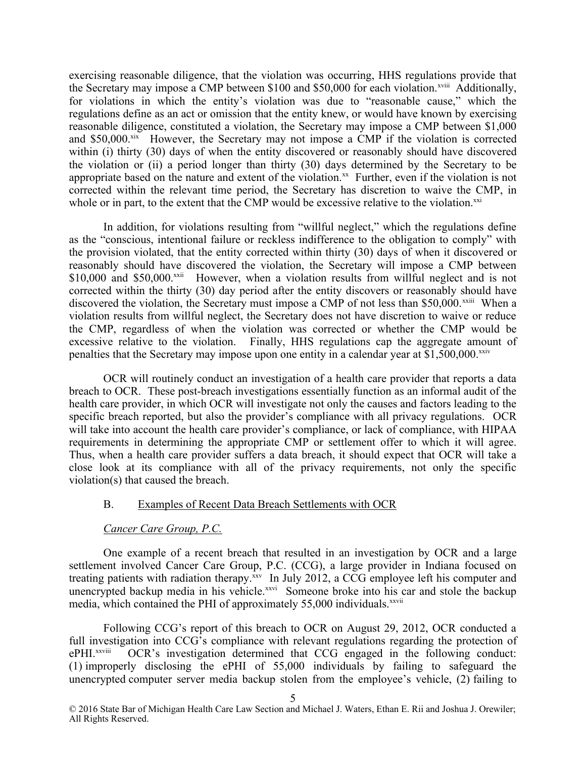exercising reasonable diligence, that the violation was occurring, HHS regulations provide that the Secretary may impose a CMP between \$100 and \$50,000 for each violation.<sup>xviii</sup> Additionally, for violations in which the entity's violation was due to "reasonable cause," which the regulations define as an act or omission that the entity knew, or would have known by exercising reasonable diligence, constituted a violation, the Secretary may impose a CMP between \$1,000 and \$50,000.<sup>xix</sup> However, the Secretary may not impose a CMP if the violation is corrected within (i) thirty (30) days of when the entity discovered or reasonably should have discovered the violation or (ii) a period longer than thirty (30) days determined by the Secretary to be appropriate based on the nature and extent of the violation.<sup>xx</sup> Further, even if the violation is not corrected within the relevant time period, the Secretary has discretion to waive the CMP, in whole or in part, to the extent that the CMP would be excessive relative to the violation.<sup>xxi</sup>

In addition, for violations resulting from "willful neglect," which the regulations define as the "conscious, intentional failure or reckless indifference to the obligation to comply" with the provision violated, that the entity corrected within thirty (30) days of when it discovered or reasonably should have discovered the violation, the Secretary will impose a CMP between \$10,000 and \$50,000<sup>xxii</sup> However, when a violation results from willful neglect and is not corrected within the thirty (30) day period after the entity discovers or reasonably should have discovered the violation, the Secretary must impose a CMP of not less than \$50,000.<sup>xxiii</sup> When a violation results from willful neglect, the Secretary does not have discretion to waive or reduce the CMP, regardless of when the violation was corrected or whether the CMP would be excessive relative to the violation. Finally, HHS regulations cap the aggregate amount of penalties that the Secretary may impose upon one entity in a calendar year at  $$1,500,000$ <sup>xxiv</sup>

OCR will routinely conduct an investigation of a health care provider that reports a data breach to OCR. These post-breach investigations essentially function as an informal audit of the health care provider, in which OCR will investigate not only the causes and factors leading to the specific breach reported, but also the provider's compliance with all privacy regulations. OCR will take into account the health care provider's compliance, or lack of compliance, with HIPAA requirements in determining the appropriate CMP or settlement offer to which it will agree. Thus, when a health care provider suffers a data breach, it should expect that OCR will take a close look at its compliance with all of the privacy requirements, not only the specific violation(s) that caused the breach.

# B. Examples of Recent Data Breach Settlements with OCR

# *Cancer Care Group, P.C.*

One example of a recent breach that resulted in an investigation by OCR and a large settlement involved Cancer Care Group, P.C. (CCG), a large provider in Indiana focused on treating patients with radiation therapy.<sup>xxv</sup> In July 2012, a CCG employee left his computer and unencrypted backup media in his vehicle.<sup>xxvi</sup> Someone broke into his car and stole the backup media, which contained the PHI of approximately 55,000 individuals.<sup>xxvii</sup>

Following CCG's report of this breach to OCR on August 29, 2012, OCR conducted a full investigation into CCG's compliance with relevant regulations regarding the protection of ePHI.<sup>xxviii</sup> OCR's investigation determined that CCG engaged in the following conduct  $OCR$ 's investigation determined that  $CCG$  engaged in the following conduct: (1) improperly disclosing the ePHI of 55,000 individuals by failing to safeguard the unencrypted computer server media backup stolen from the employee's vehicle, (2) failing to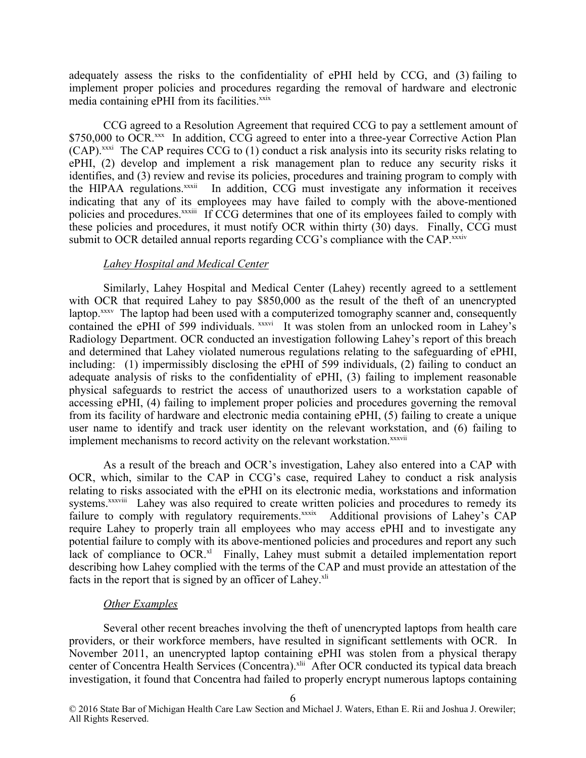adequately assess the risks to the confidentiality of ePHI held by CCG, and (3) failing to implement proper policies and procedures regarding the removal of hardware and electronic media containing ePHI from its facilities.<sup>xxix</sup>

CCG agreed to a Resolution Agreement that required CCG to pay a settlement amount of \$750,000 to OCR.<sup>xxx</sup> In addition, CCG agreed to enter into a three-year Corrective Action Plan (CAP).xxxi The CAP requires CCG to (1) conduct a risk analysis into its security risks relating to ePHI, (2) develop and implement a risk management plan to reduce any security risks it identifies, and (3) review and revise its policies, procedures and training program to comply with the HIPAA regulations.<sup>xxxii</sup> In addition, CCG must investigate any information it receives indicating that any of its employees may have failed to comply with the above-mentioned policies and procedures.<sup>xxxiii</sup> If CCG determines that one of its employees failed to comply with these policies and procedures, it must notify OCR within thirty (30) days. Finally, CCG must submit to OCR detailed annual reports regarding CCG's compliance with the CAP.<sup>xxxiv</sup>

### *Lahey Hospital and Medical Center*

Similarly, Lahey Hospital and Medical Center (Lahey) recently agreed to a settlement with OCR that required Lahey to pay \$850,000 as the result of the theft of an unencrypted laptop.<sup>xxxv</sup> The laptop had been used with a computerized tomography scanner and, consequently contained the ePHI of 599 individuals. xxxvi It was stolen from an unlocked room in Lahey's Radiology Department. OCR conducted an investigation following Lahey's report of this breach and determined that Lahey violated numerous regulations relating to the safeguarding of ePHI, including: (1) impermissibly disclosing the ePHI of 599 individuals, (2) failing to conduct an adequate analysis of risks to the confidentiality of ePHI, (3) failing to implement reasonable physical safeguards to restrict the access of unauthorized users to a workstation capable of accessing ePHI, (4) failing to implement proper policies and procedures governing the removal from its facility of hardware and electronic media containing ePHI, (5) failing to create a unique user name to identify and track user identity on the relevant workstation, and (6) failing to implement mechanisms to record activity on the relevant workstation.<sup>xxxvii</sup>

As a result of the breach and OCR's investigation, Lahey also entered into a CAP with OCR, which, similar to the CAP in CCG's case, required Lahey to conduct a risk analysis relating to risks associated with the ePHI on its electronic media, workstations and information systems.<sup>xxxviii</sup> Lahey was also required to create written policies and procedures to remedy its failure to comply with regulatory requirements.xxxix Additional provisions of Lahey's CAP require Lahey to properly train all employees who may access ePHI and to investigate any potential failure to comply with its above-mentioned policies and procedures and report any such lack of compliance to OCR.<sup>xl</sup> Finally, Lahey must submit a detailed implementation report describing how Lahey complied with the terms of the CAP and must provide an attestation of the facts in the report that is signed by an officer of Lahey.<sup>xli</sup>

#### *Other Examples*

Several other recent breaches involving the theft of unencrypted laptops from health care providers, or their workforce members, have resulted in significant settlements with OCR. In November 2011, an unencrypted laptop containing ePHI was stolen from a physical therapy center of Concentra Health Services (Concentra).<sup>xlii</sup> After OCR conducted its typical data breach investigation, it found that Concentra had failed to properly encrypt numerous laptops containing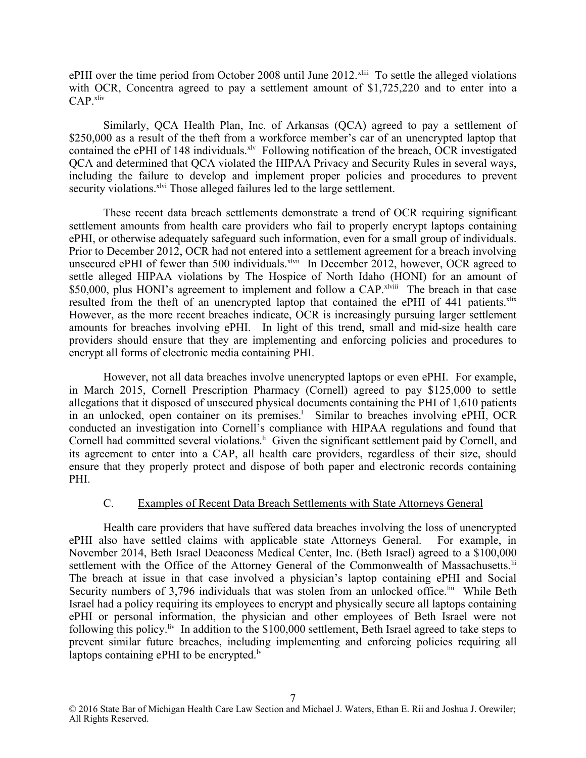ePHI over the time period from October 2008 until June 2012.<sup>xliii</sup> To settle the alleged violations with OCR, Concentra agreed to pay a settlement amount of \$1,725,220 and to enter into a CAP.xliv

Similarly, QCA Health Plan, Inc. of Arkansas (QCA) agreed to pay a settlement of \$250,000 as a result of the theft from a workforce member's car of an unencrypted laptop that contained the ePHI of 148 individuals.<sup>xlv</sup> Following notification of the breach, OCR investigated QCA and determined that QCA violated the HIPAA Privacy and Security Rules in several ways, including the failure to develop and implement proper policies and procedures to prevent security violations.<sup>xlvi</sup> Those alleged failures led to the large settlement.

These recent data breach settlements demonstrate a trend of OCR requiring significant settlement amounts from health care providers who fail to properly encrypt laptops containing ePHI, or otherwise adequately safeguard such information, even for a small group of individuals. Prior to December 2012, OCR had not entered into a settlement agreement for a breach involving unsecured ePHI of fewer than 500 individuals.<sup>xlvii</sup> In December 2012, however, OCR agreed to settle alleged HIPAA violations by The Hospice of North Idaho (HONI) for an amount of \$50,000, plus HONI's agreement to implement and follow a CAP.<sup>xlviii</sup> The breach in that case resulted from the theft of an unencrypted laptop that contained the ePHI of 441 patients.<sup>xlix</sup> However, as the more recent breaches indicate, OCR is increasingly pursuing larger settlement amounts for breaches involving ePHI. In light of this trend, small and mid-size health care providers should ensure that they are implementing and enforcing policies and procedures to encrypt all forms of electronic media containing PHI.

However, not all data breaches involve unencrypted laptops or even ePHI. For example, in March 2015, Cornell Prescription Pharmacy (Cornell) agreed to pay \$125,000 to settle allegations that it disposed of unsecured physical documents containing the PHI of 1,610 patients in an unlocked, open container on its premises.<sup>1</sup> Similar to breaches involving ePHI, OCR conducted an investigation into Cornell's compliance with HIPAA regulations and found that Cornell had committed several violations.<sup>li</sup> Given the significant settlement paid by Cornell, and its agreement to enter into a CAP, all health care providers, regardless of their size, should ensure that they properly protect and dispose of both paper and electronic records containing PHI.

# C. Examples of Recent Data Breach Settlements with State Attorneys General

Health care providers that have suffered data breaches involving the loss of unencrypted ePHI also have settled claims with applicable state Attorneys General. For example, in November 2014, Beth Israel Deaconess Medical Center, Inc. (Beth Israel) agreed to a \$100,000 settlement with the Office of the Attorney General of the Commonwealth of Massachusetts.<sup>lii</sup> The breach at issue in that case involved a physician's laptop containing ePHI and Social Security numbers of 3,796 individuals that was stolen from an unlocked office.<sup>liii</sup> While Beth Israel had a policy requiring its employees to encrypt and physically secure all laptops containing ePHI or personal information, the physician and other employees of Beth Israel were not following this policy. <sup>liv</sup> In addition to the \$100,000 settlement, Beth Israel agreed to take steps to prevent similar future breaches, including implementing and enforcing policies requiring all laptops containing ePHI to be encrypted.<sup> $\frac{1}{x}$ </sup>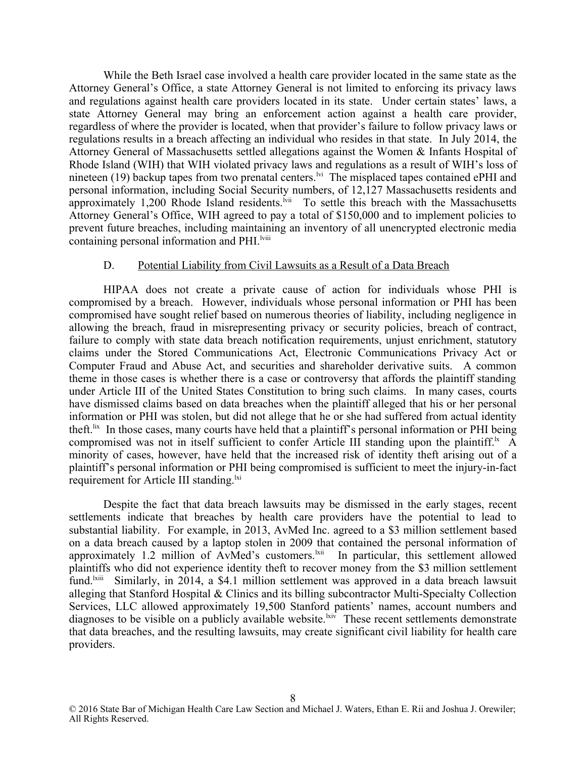While the Beth Israel case involved a health care provider located in the same state as the Attorney General's Office, a state Attorney General is not limited to enforcing its privacy laws and regulations against health care providers located in its state. Under certain states' laws, a state Attorney General may bring an enforcement action against a health care provider, regardless of where the provider is located, when that provider's failure to follow privacy laws or regulations results in a breach affecting an individual who resides in that state. In July 2014, the Attorney General of Massachusetts settled allegations against the Women & Infants Hospital of Rhode Island (WIH) that WIH violated privacy laws and regulations as a result of WIH's loss of nineteen (19) backup tapes from two prenatal centers.<sup>lvi</sup> The misplaced tapes contained ePHI and personal information, including Social Security numbers, of 12,127 Massachusetts residents and approximately 1,200 Rhode Island residents.<sup>Ivii</sup> To settle this breach with the Massachusetts Attorney General's Office, WIH agreed to pay a total of \$150,000 and to implement policies to prevent future breaches, including maintaining an inventory of all unencrypted electronic media containing personal information and PHI.<sup>lviii</sup>

#### D. Potential Liability from Civil Lawsuits as a Result of a Data Breach

HIPAA does not create a private cause of action for individuals whose PHI is compromised by a breach. However, individuals whose personal information or PHI has been compromised have sought relief based on numerous theories of liability, including negligence in allowing the breach, fraud in misrepresenting privacy or security policies, breach of contract, failure to comply with state data breach notification requirements, unjust enrichment, statutory claims under the Stored Communications Act, Electronic Communications Privacy Act or Computer Fraud and Abuse Act, and securities and shareholder derivative suits. A common theme in those cases is whether there is a case or controversy that affords the plaintiff standing under Article III of the United States Constitution to bring such claims. In many cases, courts have dismissed claims based on data breaches when the plaintiff alleged that his or her personal information or PHI was stolen, but did not allege that he or she had suffered from actual identity theft.lix In those cases, many courts have held that a plaintiff's personal information or PHI being compromised was not in itself sufficient to confer Article III standing upon the plaintiff.<sup> $k$ </sup> A minority of cases, however, have held that the increased risk of identity theft arising out of a plaintiff's personal information or PHI being compromised is sufficient to meet the injury-in-fact requirement for Article III standing.<sup>1xi</sup>

Despite the fact that data breach lawsuits may be dismissed in the early stages, recent settlements indicate that breaches by health care providers have the potential to lead to substantial liability. For example, in 2013, AvMed Inc. agreed to a \$3 million settlement based on a data breach caused by a laptop stolen in 2009 that contained the personal information of approximately 1.2 million of AvMed's customers.<sup>kii</sup> In particular, this settlement allowed plaintiffs who did not experience identity theft to recover money from the \$3 million settlement fund.<sup>Ixiii</sup> Similarly, in 2014, a \$4.1 million settlement was approved in a data breach lawsuit alleging that Stanford Hospital & Clinics and its billing subcontractor Multi-Specialty Collection Services, LLC allowed approximately 19,500 Stanford patients' names, account numbers and diagnoses to be visible on a publicly available website.<sup>lxiv</sup> These recent settlements demonstrate that data breaches, and the resulting lawsuits, may create significant civil liability for health care providers.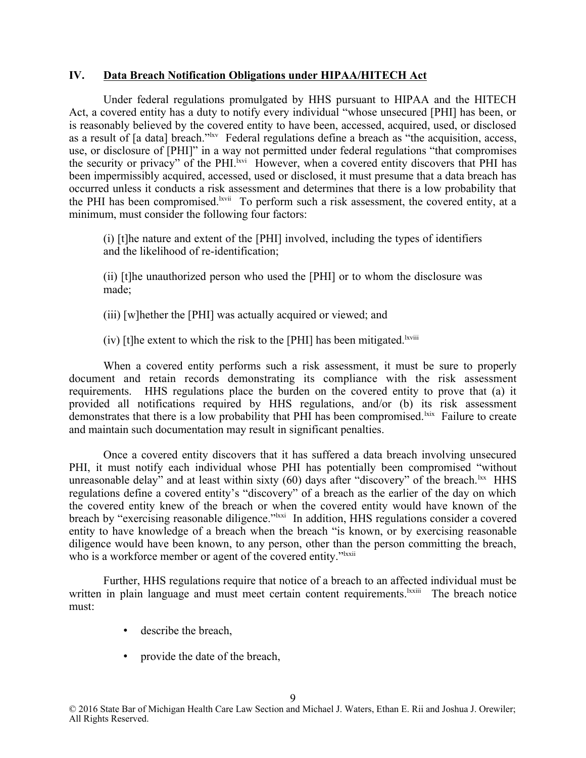### **IV. Data Breach Notification Obligations under HIPAA/HITECH Act**

Under federal regulations promulgated by HHS pursuant to HIPAA and the HITECH Act, a covered entity has a duty to notify every individual "whose unsecured [PHI] has been, or is reasonably believed by the covered entity to have been, accessed, acquired, used, or disclosed as a result of [a data] breach."<sup>Ixv</sup> Federal regulations define a breach as "the acquisition, access, use, or disclosure of [PHI]" in a way not permitted under federal regulations "that compromises the security or privacy" of the PHI.<sup>Ixvi</sup> However, when a covered entity discovers that PHI has been impermissibly acquired, accessed, used or disclosed, it must presume that a data breach has occurred unless it conducts a risk assessment and determines that there is a low probability that the PHI has been compromised.<sup>lxvii</sup> To perform such a risk assessment, the covered entity, at a minimum, must consider the following four factors:

(i) [t]he nature and extent of the [PHI] involved, including the types of identifiers and the likelihood of re-identification;

(ii) [t]he unauthorized person who used the [PHI] or to whom the disclosure was made;

(iii) [w]hether the [PHI] was actually acquired or viewed; and

(iv)  $[t]$ he extent to which the risk to the  $[PHI]$  has been mitigated.<sup>lxviii</sup>

When a covered entity performs such a risk assessment, it must be sure to properly document and retain records demonstrating its compliance with the risk assessment requirements. HHS regulations place the burden on the covered entity to prove that (a) it provided all notifications required by HHS regulations, and/or (b) its risk assessment demonstrates that there is a low probability that PHI has been compromised.<sup>lxix</sup> Failure to create and maintain such documentation may result in significant penalties.

Once a covered entity discovers that it has suffered a data breach involving unsecured PHI, it must notify each individual whose PHI has potentially been compromised "without unreasonable delay" and at least within sixty  $(60)$  days after "discovery" of the breach.<sup>lxx</sup> HHS regulations define a covered entity's "discovery" of a breach as the earlier of the day on which the covered entity knew of the breach or when the covered entity would have known of the breach by "exercising reasonable diligence."<sup>Ixxi</sup> In addition, HHS regulations consider a covered entity to have knowledge of a breach when the breach "is known, or by exercising reasonable diligence would have been known, to any person, other than the person committing the breach, who is a workforce member or agent of the covered entity."<sup>Ixxii</sup>

Further, HHS regulations require that notice of a breach to an affected individual must be written in plain language and must meet certain content requirements.<sup>Ixxiii</sup> The breach notice must:

- describe the breach,
- provide the date of the breach,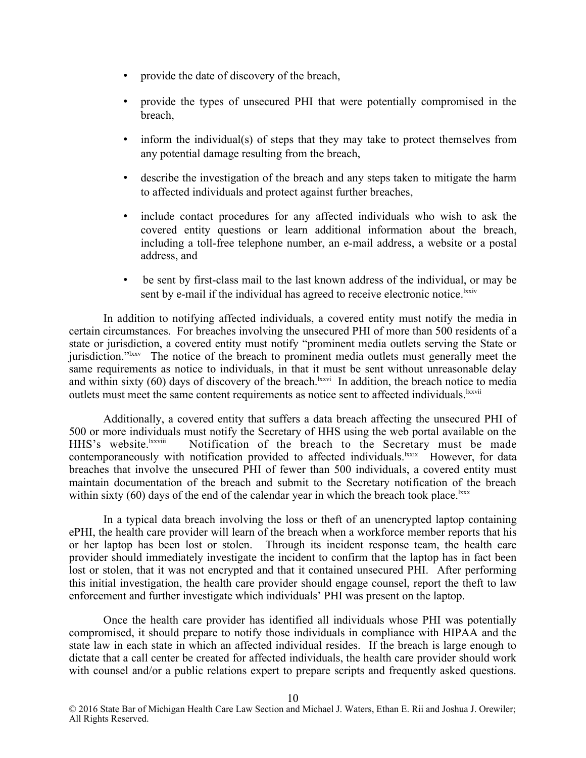- provide the date of discovery of the breach,
- provide the types of unsecured PHI that were potentially compromised in the breach,
- inform the individual(s) of steps that they may take to protect themselves from any potential damage resulting from the breach,
- describe the investigation of the breach and any steps taken to mitigate the harm to affected individuals and protect against further breaches,
- include contact procedures for any affected individuals who wish to ask the covered entity questions or learn additional information about the breach, including a toll-free telephone number, an e-mail address, a website or a postal address, and
- be sent by first-class mail to the last known address of the individual, or may be sent by e-mail if the individual has agreed to receive electronic notice.<sup>lxxiv</sup>

In addition to notifying affected individuals, a covered entity must notify the media in certain circumstances. For breaches involving the unsecured PHI of more than 500 residents of a state or jurisdiction, a covered entity must notify "prominent media outlets serving the State or jurisdiction."<sup>Ixxv</sup> The notice of the breach to prominent media outlets must generally meet the same requirements as notice to individuals, in that it must be sent without unreasonable delay and within sixty  $(60)$  days of discovery of the breach.<sup>lxxvi</sup> In addition, the breach notice to media outlets must meet the same content requirements as notice sent to affected individuals.<sup>kxvii</sup>

Additionally, a covered entity that suffers a data breach affecting the unsecured PHI of 500 or more individuals must notify the Secretary of HHS using the web portal available on the HHS's website.<sup>Ixxviii</sup> Notification of the breach to the Secretary must be made Notification of the breach to the Secretary must be made contemporaneously with notification provided to affected individuals.<sup>1xxix</sup> However, for data breaches that involve the unsecured PHI of fewer than 500 individuals, a covered entity must maintain documentation of the breach and submit to the Secretary notification of the breach within sixty  $(60)$  days of the end of the calendar year in which the breach took place.<sup>lxxx</sup>

In a typical data breach involving the loss or theft of an unencrypted laptop containing ePHI, the health care provider will learn of the breach when a workforce member reports that his or her laptop has been lost or stolen. Through its incident response team, the health care provider should immediately investigate the incident to confirm that the laptop has in fact been lost or stolen, that it was not encrypted and that it contained unsecured PHI. After performing this initial investigation, the health care provider should engage counsel, report the theft to law enforcement and further investigate which individuals' PHI was present on the laptop.

Once the health care provider has identified all individuals whose PHI was potentially compromised, it should prepare to notify those individuals in compliance with HIPAA and the state law in each state in which an affected individual resides. If the breach is large enough to dictate that a call center be created for affected individuals, the health care provider should work with counsel and/or a public relations expert to prepare scripts and frequently asked questions.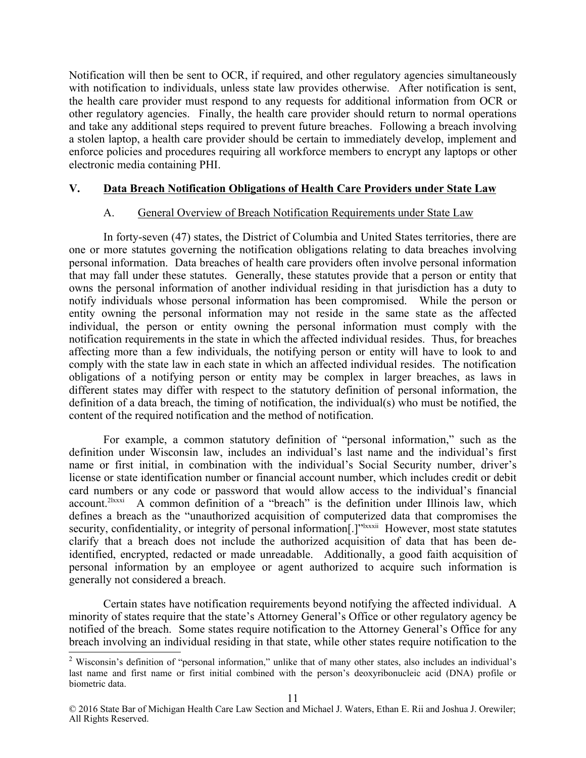Notification will then be sent to OCR, if required, and other regulatory agencies simultaneously with notification to individuals, unless state law provides otherwise. After notification is sent, the health care provider must respond to any requests for additional information from OCR or other regulatory agencies. Finally, the health care provider should return to normal operations and take any additional steps required to prevent future breaches. Following a breach involving a stolen laptop, a health care provider should be certain to immediately develop, implement and enforce policies and procedures requiring all workforce members to encrypt any laptops or other electronic media containing PHI.

### **V. Data Breach Notification Obligations of Health Care Providers under State Law**

# A. General Overview of Breach Notification Requirements under State Law

In forty-seven (47) states, the District of Columbia and United States territories, there are one or more statutes governing the notification obligations relating to data breaches involving personal information. Data breaches of health care providers often involve personal information that may fall under these statutes. Generally, these statutes provide that a person or entity that owns the personal information of another individual residing in that jurisdiction has a duty to notify individuals whose personal information has been compromised. While the person or entity owning the personal information may not reside in the same state as the affected individual, the person or entity owning the personal information must comply with the notification requirements in the state in which the affected individual resides. Thus, for breaches affecting more than a few individuals, the notifying person or entity will have to look to and comply with the state law in each state in which an affected individual resides. The notification obligations of a notifying person or entity may be complex in larger breaches, as laws in different states may differ with respect to the statutory definition of personal information, the definition of a data breach, the timing of notification, the individual(s) who must be notified, the content of the required notification and the method of notification.

For example, a common statutory definition of "personal information," such as the definition under Wisconsin law, includes an individual's last name and the individual's first name or first initial, in combination with the individual's Social Security number, driver's license or state identification number or financial account number, which includes credit or debit card numbers or any code or password that would allow access to the individual's financial account.<sup>2lxxxi</sup> A common definition of a "breach" is the definition under Illinois law, which defines a breach as the "unauthorized acquisition of computerized data that compromises the security, confidentiality, or integrity of personal information<sup>[1]"xxxii</sup> However, most state statutes clarify that a breach does not include the authorized acquisition of data that has been deidentified, encrypted, redacted or made unreadable. Additionally, a good faith acquisition of personal information by an employee or agent authorized to acquire such information is generally not considered a breach.

Certain states have notification requirements beyond notifying the affected individual. A minority of states require that the state's Attorney General's Office or other regulatory agency be notified of the breach. Some states require notification to the Attorney General's Office for any breach involving an individual residing in that state, while other states require notification to the

<sup>&</sup>lt;sup>2</sup> Wisconsin's definition of "personal information," unlike that of many other states, also includes an individual's last name and first name or first initial combined with the person's deoxyribonucleic acid (DNA) profile or biometric data.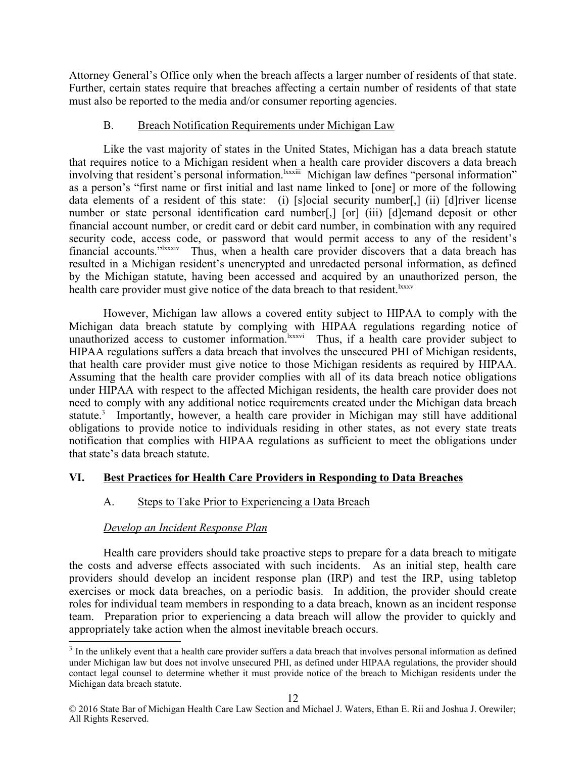Attorney General's Office only when the breach affects a larger number of residents of that state. Further, certain states require that breaches affecting a certain number of residents of that state must also be reported to the media and/or consumer reporting agencies.

# B. Breach Notification Requirements under Michigan Law

Like the vast majority of states in the United States, Michigan has a data breach statute that requires notice to a Michigan resident when a health care provider discovers a data breach involving that resident's personal information.<sup>lxxxiii</sup> Michigan law defines "personal information" as a person's "first name or first initial and last name linked to [one] or more of the following data elements of a resident of this state: (i) [s]ocial security number[,] (ii) [d]river license number or state personal identification card number[,] [or] (iii) [d]emand deposit or other financial account number, or credit card or debit card number, in combination with any required security code, access code, or password that would permit access to any of the resident's financial accounts."<sup>Ixxxiv</sup> Thus, when a health care provider discovers that a data breach has resulted in a Michigan resident's unencrypted and unredacted personal information, as defined by the Michigan statute, having been accessed and acquired by an unauthorized person, the health care provider must give notice of the data breach to that resident.<sup>1xxxv</sup>

However, Michigan law allows a covered entity subject to HIPAA to comply with the Michigan data breach statute by complying with HIPAA regulations regarding notice of unauthorized access to customer information.<sup>lxxxvi</sup> Thus, if a health care provider subject to HIPAA regulations suffers a data breach that involves the unsecured PHI of Michigan residents, that health care provider must give notice to those Michigan residents as required by HIPAA. Assuming that the health care provider complies with all of its data breach notice obligations under HIPAA with respect to the affected Michigan residents, the health care provider does not need to comply with any additional notice requirements created under the Michigan data breach statute.<sup>3</sup> Importantly, however, a health care provider in Michigan may still have additional obligations to provide notice to individuals residing in other states, as not every state treats notification that complies with HIPAA regulations as sufficient to meet the obligations under that state's data breach statute.

# **VI. Best Practices for Health Care Providers in Responding to Data Breaches**

# A. Steps to Take Prior to Experiencing a Data Breach

# *Develop an Incident Response Plan*

Health care providers should take proactive steps to prepare for a data breach to mitigate the costs and adverse effects associated with such incidents. As an initial step, health care providers should develop an incident response plan (IRP) and test the IRP, using tabletop exercises or mock data breaches, on a periodic basis. In addition, the provider should create roles for individual team members in responding to a data breach, known as an incident response team. Preparation prior to experiencing a data breach will allow the provider to quickly and appropriately take action when the almost inevitable breach occurs.

<sup>&</sup>lt;sup>3</sup> In the unlikely event that a health care provider suffers a data breach that involves personal information as defined under Michigan law but does not involve unsecured PHI, as defined under HIPAA regulations, the provider should contact legal counsel to determine whether it must provide notice of the breach to Michigan residents under the Michigan data breach statute.

<sup>© 2016</sup> State Bar of Michigan Health Care Law Section and Michael J. Waters, Ethan E. Rii and Joshua J. Orewiler; All Rights Reserved.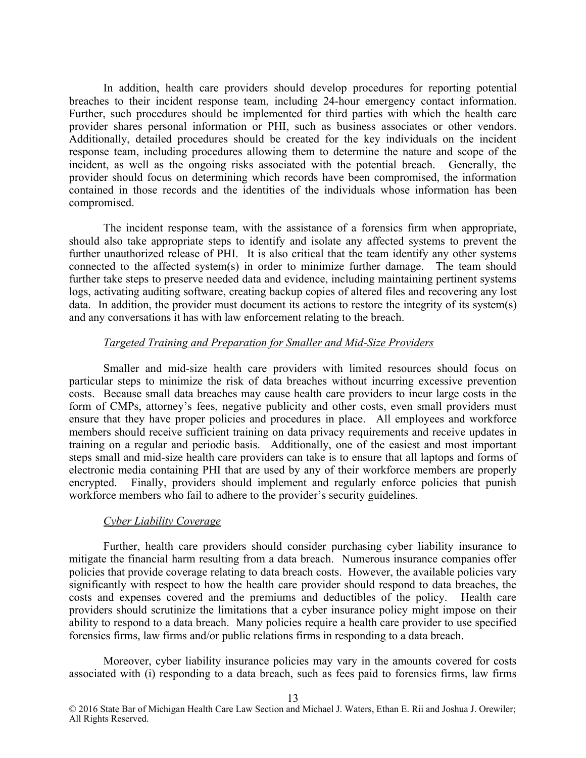In addition, health care providers should develop procedures for reporting potential breaches to their incident response team, including 24-hour emergency contact information. Further, such procedures should be implemented for third parties with which the health care provider shares personal information or PHI, such as business associates or other vendors. Additionally, detailed procedures should be created for the key individuals on the incident response team, including procedures allowing them to determine the nature and scope of the incident, as well as the ongoing risks associated with the potential breach. Generally, the provider should focus on determining which records have been compromised, the information contained in those records and the identities of the individuals whose information has been compromised.

The incident response team, with the assistance of a forensics firm when appropriate, should also take appropriate steps to identify and isolate any affected systems to prevent the further unauthorized release of PHI. It is also critical that the team identify any other systems connected to the affected system(s) in order to minimize further damage. The team should further take steps to preserve needed data and evidence, including maintaining pertinent systems logs, activating auditing software, creating backup copies of altered files and recovering any lost data. In addition, the provider must document its actions to restore the integrity of its system(s) and any conversations it has with law enforcement relating to the breach.

### *Targeted Training and Preparation for Smaller and Mid-Size Providers*

Smaller and mid-size health care providers with limited resources should focus on particular steps to minimize the risk of data breaches without incurring excessive prevention costs. Because small data breaches may cause health care providers to incur large costs in the form of CMPs, attorney's fees, negative publicity and other costs, even small providers must ensure that they have proper policies and procedures in place. All employees and workforce members should receive sufficient training on data privacy requirements and receive updates in training on a regular and periodic basis. Additionally, one of the easiest and most important steps small and mid-size health care providers can take is to ensure that all laptops and forms of electronic media containing PHI that are used by any of their workforce members are properly encrypted. Finally, providers should implement and regularly enforce policies that punish workforce members who fail to adhere to the provider's security guidelines.

#### *Cyber Liability Coverage*

Further, health care providers should consider purchasing cyber liability insurance to mitigate the financial harm resulting from a data breach. Numerous insurance companies offer policies that provide coverage relating to data breach costs. However, the available policies vary significantly with respect to how the health care provider should respond to data breaches, the costs and expenses covered and the premiums and deductibles of the policy. Health care providers should scrutinize the limitations that a cyber insurance policy might impose on their ability to respond to a data breach. Many policies require a health care provider to use specified forensics firms, law firms and/or public relations firms in responding to a data breach.

Moreover, cyber liability insurance policies may vary in the amounts covered for costs associated with (i) responding to a data breach, such as fees paid to forensics firms, law firms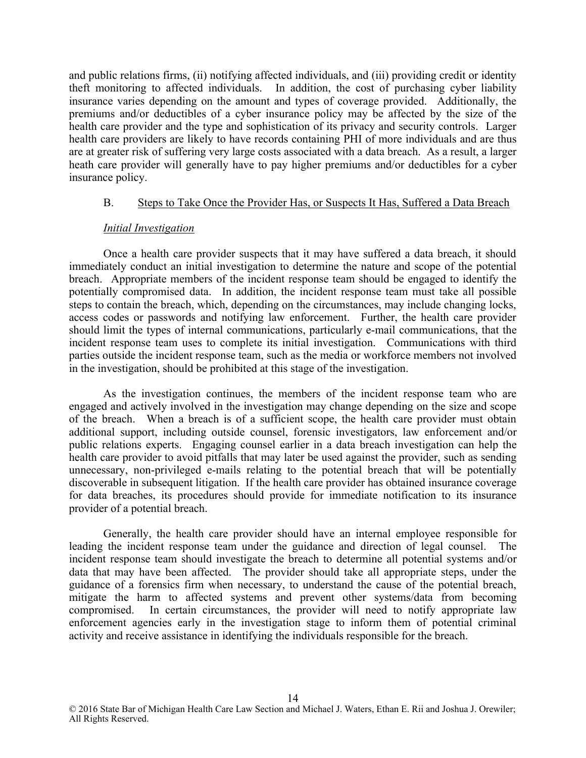and public relations firms, (ii) notifying affected individuals, and (iii) providing credit or identity theft monitoring to affected individuals. In addition, the cost of purchasing cyber liability insurance varies depending on the amount and types of coverage provided. Additionally, the premiums and/or deductibles of a cyber insurance policy may be affected by the size of the health care provider and the type and sophistication of its privacy and security controls. Larger health care providers are likely to have records containing PHI of more individuals and are thus are at greater risk of suffering very large costs associated with a data breach. As a result, a larger heath care provider will generally have to pay higher premiums and/or deductibles for a cyber insurance policy.

### B. Steps to Take Once the Provider Has, or Suspects It Has, Suffered a Data Breach

### *Initial Investigation*

Once a health care provider suspects that it may have suffered a data breach, it should immediately conduct an initial investigation to determine the nature and scope of the potential breach. Appropriate members of the incident response team should be engaged to identify the potentially compromised data. In addition, the incident response team must take all possible steps to contain the breach, which, depending on the circumstances, may include changing locks, access codes or passwords and notifying law enforcement. Further, the health care provider should limit the types of internal communications, particularly e-mail communications, that the incident response team uses to complete its initial investigation. Communications with third parties outside the incident response team, such as the media or workforce members not involved in the investigation, should be prohibited at this stage of the investigation.

As the investigation continues, the members of the incident response team who are engaged and actively involved in the investigation may change depending on the size and scope of the breach. When a breach is of a sufficient scope, the health care provider must obtain additional support, including outside counsel, forensic investigators, law enforcement and/or public relations experts. Engaging counsel earlier in a data breach investigation can help the health care provider to avoid pitfalls that may later be used against the provider, such as sending unnecessary, non-privileged e-mails relating to the potential breach that will be potentially discoverable in subsequent litigation. If the health care provider has obtained insurance coverage for data breaches, its procedures should provide for immediate notification to its insurance provider of a potential breach.

Generally, the health care provider should have an internal employee responsible for leading the incident response team under the guidance and direction of legal counsel. The incident response team should investigate the breach to determine all potential systems and/or data that may have been affected. The provider should take all appropriate steps, under the guidance of a forensics firm when necessary, to understand the cause of the potential breach, mitigate the harm to affected systems and prevent other systems/data from becoming compromised. In certain circumstances, the provider will need to notify appropriate law enforcement agencies early in the investigation stage to inform them of potential criminal activity and receive assistance in identifying the individuals responsible for the breach.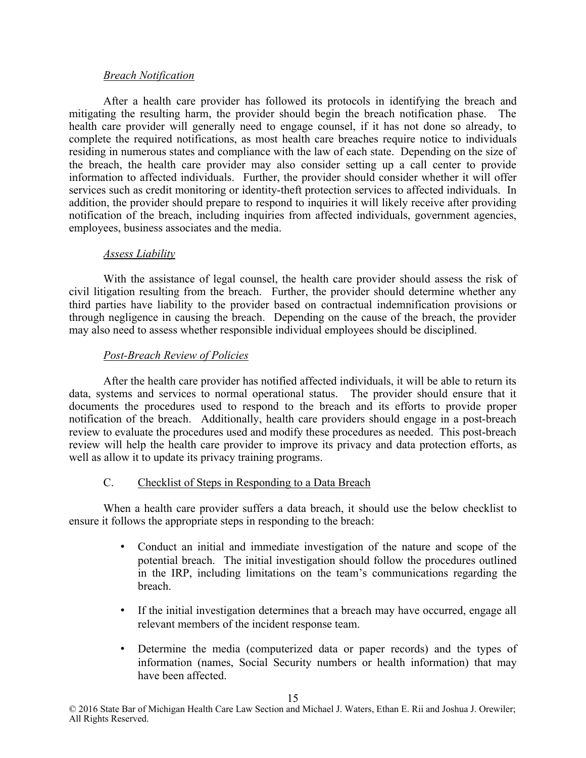### *Breach Notification*

After a health care provider has followed its protocols in identifying the breach and mitigating the resulting harm, the provider should begin the breach notification phase. The health care provider will generally need to engage counsel, if it has not done so already, to complete the required notifications, as most health care breaches require notice to individuals residing in numerous states and compliance with the law of each state. Depending on the size of the breach, the health care provider may also consider setting up a call center to provide information to affected individuals. Further, the provider should consider whether it will offer services such as credit monitoring or identity-theft protection services to affected individuals. In addition, the provider should prepare to respond to inquiries it will likely receive after providing notification of the breach, including inquiries from affected individuals, government agencies, employees, business associates and the media.

### *Assess Liability*

With the assistance of legal counsel, the health care provider should assess the risk of civil litigation resulting from the breach. Further, the provider should determine whether any third parties have liability to the provider based on contractual indemnification provisions or through negligence in causing the breach. Depending on the cause of the breach, the provider may also need to assess whether responsible individual employees should be disciplined.

# *Post-Breach Review of Policies*

After the health care provider has notified affected individuals, it will be able to return its data, systems and services to normal operational status. The provider should ensure that it documents the procedures used to respond to the breach and its efforts to provide proper notification of the breach. Additionally, health care providers should engage in a post-breach review to evaluate the procedures used and modify these procedures as needed. This post-breach review will help the health care provider to improve its privacy and data protection efforts, as well as allow it to update its privacy training programs.

# C. Checklist of Steps in Responding to a Data Breach

When a health care provider suffers a data breach, it should use the below checklist to ensure it follows the appropriate steps in responding to the breach:

- Conduct an initial and immediate investigation of the nature and scope of the potential breach. The initial investigation should follow the procedures outlined in the IRP, including limitations on the team's communications regarding the breach.
- If the initial investigation determines that a breach may have occurred, engage all relevant members of the incident response team.
- Determine the media (computerized data or paper records) and the types of information (names, Social Security numbers or health information) that may have been affected.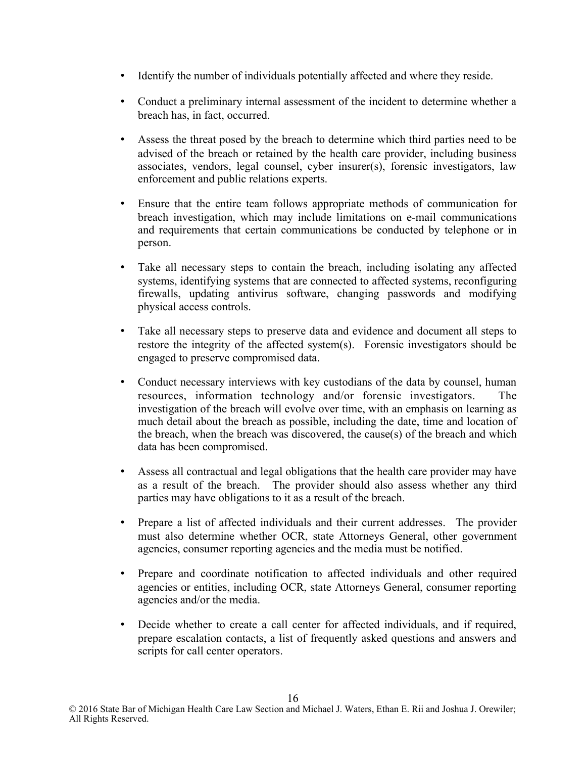- Identify the number of individuals potentially affected and where they reside.
- Conduct a preliminary internal assessment of the incident to determine whether a breach has, in fact, occurred.
- Assess the threat posed by the breach to determine which third parties need to be advised of the breach or retained by the health care provider, including business associates, vendors, legal counsel, cyber insurer(s), forensic investigators, law enforcement and public relations experts.
- Ensure that the entire team follows appropriate methods of communication for breach investigation, which may include limitations on e-mail communications and requirements that certain communications be conducted by telephone or in person.
- Take all necessary steps to contain the breach, including isolating any affected systems, identifying systems that are connected to affected systems, reconfiguring firewalls, updating antivirus software, changing passwords and modifying physical access controls.
- Take all necessary steps to preserve data and evidence and document all steps to restore the integrity of the affected system(s). Forensic investigators should be engaged to preserve compromised data.
- Conduct necessary interviews with key custodians of the data by counsel, human resources, information technology and/or forensic investigators. The investigation of the breach will evolve over time, with an emphasis on learning as much detail about the breach as possible, including the date, time and location of the breach, when the breach was discovered, the cause(s) of the breach and which data has been compromised.
- Assess all contractual and legal obligations that the health care provider may have as a result of the breach. The provider should also assess whether any third parties may have obligations to it as a result of the breach.
- Prepare a list of affected individuals and their current addresses. The provider must also determine whether OCR, state Attorneys General, other government agencies, consumer reporting agencies and the media must be notified.
- Prepare and coordinate notification to affected individuals and other required agencies or entities, including OCR, state Attorneys General, consumer reporting agencies and/or the media.
- Decide whether to create a call center for affected individuals, and if required, prepare escalation contacts, a list of frequently asked questions and answers and scripts for call center operators.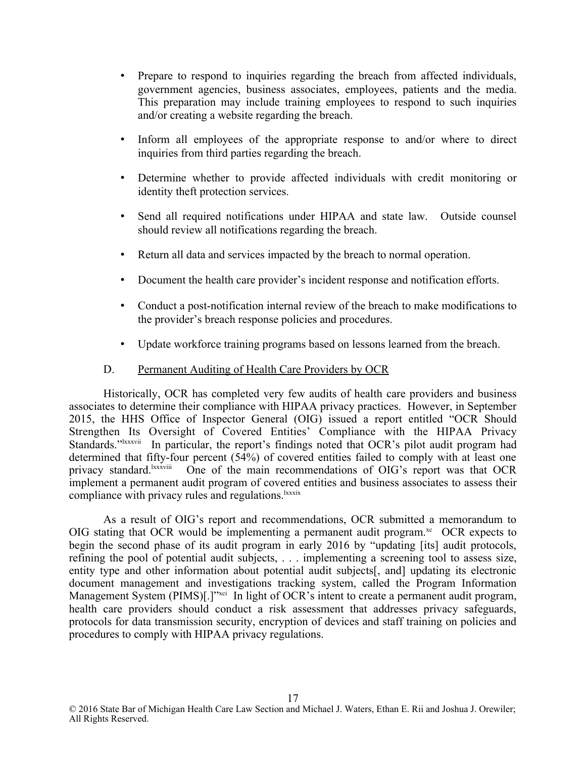- Prepare to respond to inquiries regarding the breach from affected individuals, government agencies, business associates, employees, patients and the media. This preparation may include training employees to respond to such inquiries and/or creating a website regarding the breach.
- Inform all employees of the appropriate response to and/or where to direct inquiries from third parties regarding the breach.
- Determine whether to provide affected individuals with credit monitoring or identity theft protection services.
- Send all required notifications under HIPAA and state law. Outside counsel should review all notifications regarding the breach.
- Return all data and services impacted by the breach to normal operation.
- Document the health care provider's incident response and notification efforts.
- Conduct a post-notification internal review of the breach to make modifications to the provider's breach response policies and procedures.
- Update workforce training programs based on lessons learned from the breach.

# D. Permanent Auditing of Health Care Providers by OCR

Historically, OCR has completed very few audits of health care providers and business associates to determine their compliance with HIPAA privacy practices. However, in September 2015, the HHS Office of Inspector General (OIG) issued a report entitled "OCR Should Strengthen Its Oversight of Covered Entities' Compliance with the HIPAA Privacy Standards."<sup>Ixxxvii</sup> In particular, the report's findings noted that OCR's pilot audit program had determined that fifty-four percent (54%) of covered entities failed to comply with at least one privacy standard lines of the main recommendations of OIG's report was that OCR One of the main recommendations of OIG's report was that OCR implement a permanent audit program of covered entities and business associates to assess their compliance with privacy rules and regulations.<sup>1xxxix</sup>

As a result of OIG's report and recommendations, OCR submitted a memorandum to OIG stating that OCR would be implementing a permanent audit program. $x_c$  OCR expects to begin the second phase of its audit program in early 2016 by "updating [its] audit protocols, refining the pool of potential audit subjects, . . . implementing a screening tool to assess size, entity type and other information about potential audit subjects[, and] updating its electronic document management and investigations tracking system, called the Program Information Management System (PIMS)[.]"xci In light of OCR's intent to create a permanent audit program, health care providers should conduct a risk assessment that addresses privacy safeguards, protocols for data transmission security, encryption of devices and staff training on policies and procedures to comply with HIPAA privacy regulations.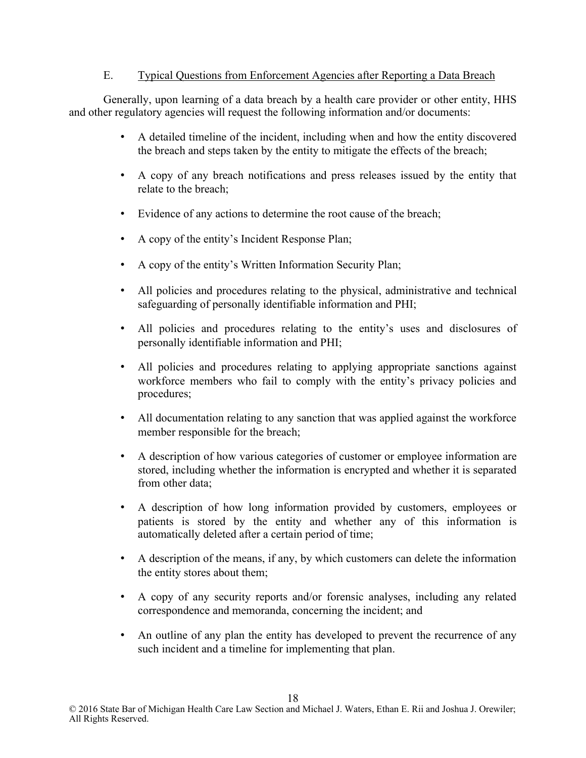# E. Typical Questions from Enforcement Agencies after Reporting a Data Breach

Generally, upon learning of a data breach by a health care provider or other entity, HHS and other regulatory agencies will request the following information and/or documents:

- A detailed timeline of the incident, including when and how the entity discovered the breach and steps taken by the entity to mitigate the effects of the breach;
- A copy of any breach notifications and press releases issued by the entity that relate to the breach;
- Evidence of any actions to determine the root cause of the breach;
- A copy of the entity's Incident Response Plan;
- A copy of the entity's Written Information Security Plan;
- All policies and procedures relating to the physical, administrative and technical safeguarding of personally identifiable information and PHI;
- All policies and procedures relating to the entity's uses and disclosures of personally identifiable information and PHI;
- All policies and procedures relating to applying appropriate sanctions against workforce members who fail to comply with the entity's privacy policies and procedures;
- All documentation relating to any sanction that was applied against the workforce member responsible for the breach;
- A description of how various categories of customer or employee information are stored, including whether the information is encrypted and whether it is separated from other data;
- A description of how long information provided by customers, employees or patients is stored by the entity and whether any of this information is automatically deleted after a certain period of time;
- A description of the means, if any, by which customers can delete the information the entity stores about them;
- A copy of any security reports and/or forensic analyses, including any related correspondence and memoranda, concerning the incident; and
- An outline of any plan the entity has developed to prevent the recurrence of any such incident and a timeline for implementing that plan.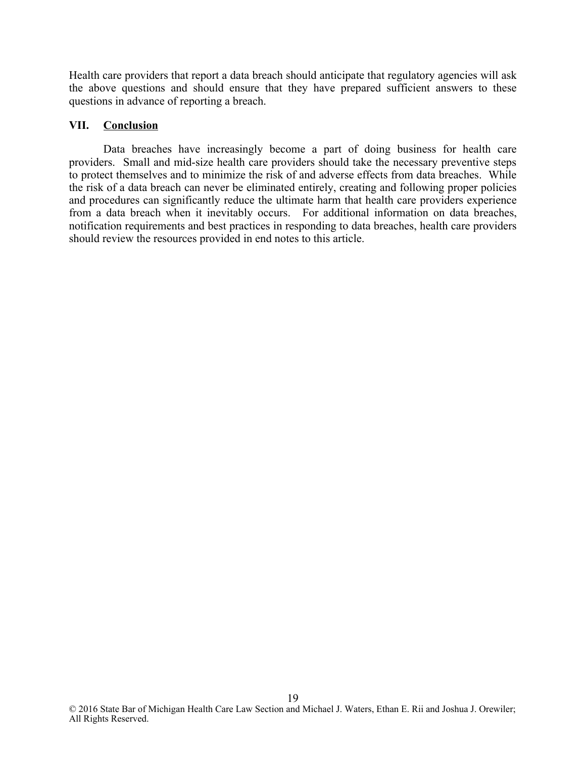Health care providers that report a data breach should anticipate that regulatory agencies will ask the above questions and should ensure that they have prepared sufficient answers to these questions in advance of reporting a breach.

# **VII. Conclusion**

Data breaches have increasingly become a part of doing business for health care providers. Small and mid-size health care providers should take the necessary preventive steps to protect themselves and to minimize the risk of and adverse effects from data breaches. While the risk of a data breach can never be eliminated entirely, creating and following proper policies and procedures can significantly reduce the ultimate harm that health care providers experience from a data breach when it inevitably occurs. For additional information on data breaches, notification requirements and best practices in responding to data breaches, health care providers should review the resources provided in end notes to this article.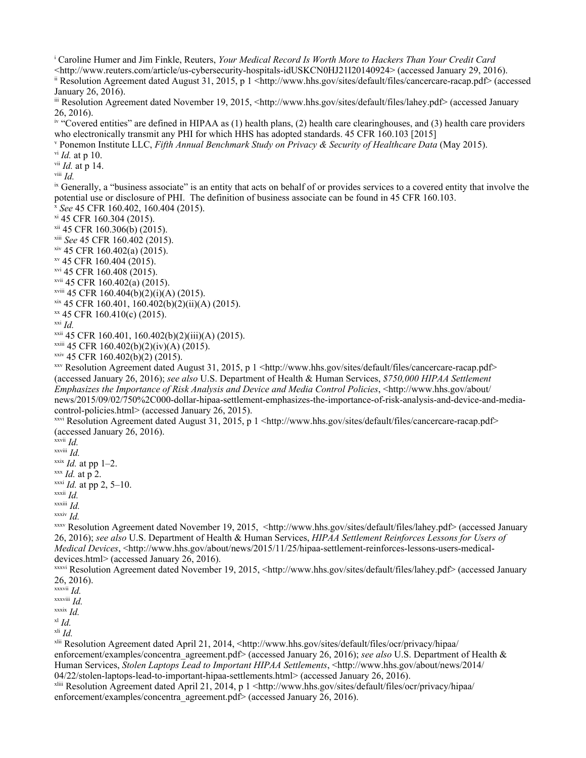i Caroline Humer and Jim Finkle, Reuters, *Your Medical Record Is Worth More to Hackers Than Your Credit Card*

 $\lt$ http://www.reuters.com/article/us-cybersecurity-hospitals-idUSKCN0HJ21I20140924> (accessed January 29, 2016).

ii Resolution Agreement dated August 31, 2015, p 1 <http://www.hhs.gov/sites/default/files/cancercare-racap.pdf> (accessed January 26, 2016).

iii Resolution Agreement dated November 19, 2015, <http://www.hhs.gov/sites/default/files/lahey.pdf> (accessed January 26, 2016).

<sup>iv</sup> "Covered entities" are defined in HIPAA as (1) health plans, (2) health care clearinghouses, and (3) health care providers who electronically transmit any PHI for which HHS has adopted standards, 45 CFR 160.103 [2015]

v Ponemon Institute LLC, *Fifth Annual Benchmark Study on Privacy & Security of Healthcare Data* (May 2015).

vi *Id.* at p 10.

vii *Id.* at p 14.

viii *Id.*

<sup>ix</sup> Generally, a "business associate" is an entity that acts on behalf of or provides services to a covered entity that involve the potential use or disclosure of PHI. The definition of business associate can be found in 45 CFR 160.103. <sup>x</sup> *See* 45 CFR 160.402, 160.404 (2015).

xi 45 CFR 160.304 (2015).

xii 45 CFR 160.306(b) (2015).

xiii *See* 45 CFR 160.402 (2015).

 $x$ iv 45 CFR 160.402(a) (2015).

xv 45 CFR 160.404 (2015).

xvi 45 CFR 160.408 (2015).

xvii 45 CFR 160.402(a) (2015).

xviii 45 CFR 160.404(b)(2)(i)(A) (2015).

- xix 45 CFR 160.401, 160.402(b)(2)(ii)(A) (2015).
- xx 45 CFR 160.410(c) (2015).

```
xxi Id.
```

```
xxii 45 CFR 160.401, 160.402(b)(2)(iii)(A) (2015).
```
 $x^{\text{xiiii}}$  45 CFR 160.402(b)(2)(iv)(A) (2015).

xxiv 45 CFR 160.402(b)(2) (2015).

 $xxy$  Resolution Agreement dated August 31, 2015, p 1 <http://www.hhs.gov/sites/default/files/cancercare-racap.pdf> (accessed January 26, 2016); *see also* U.S. Department of Health & Human Services, *\$750,000 HIPAA Settlement Emphasizes the Importance of Risk Analysis and Device and Media Control Policies*, <http://www.hhs.gov/about/ news/2015/09/02/750%2C000-dollar-hipaa-settlement-emphasizes-the-importance-of-risk-analysis-and-device-and-mediacontrol-policies.html> (accessed January 26, 2015).

 $x_x$ vi Resolution Agreement dated August 31, 2015, p 1 <http://www.hhs.gov/sites/default/files/cancercare-racap.pdf> (accessed January 26, 2016).

xxvii *Id.* xxviii *Id.*

 $x$ <sup>xxix</sup> *Id.* at pp 1–2. xxx *Id.* at p 2.

xxxi *Id.* at pp 2, 5–10.

xxxii *Id.*

xxxiii *Id.*

xxxiv *Id.*

 $x_{xx}$  Resolution Agreement dated November 19, 2015, <http://www.hhs.gov/sites/default/files/lahey.pdf> (accessed January 26, 2016); *see also* U.S. Department of Health & Human Services, *HIPAA Settlement Reinforces Lessons for Users of Medical Devices*, <http://www.hhs.gov/about/news/2015/11/25/hipaa-settlement-reinforces-lessons-users-medicaldevices.html> (accessed January 26, 2016).

xxxvi Resolution Agreement dated November 19, 2015, <http://www.hhs.gov/sites/default/files/lahey.pdf> (accessed January 26, 2016).

xxxvii *Id.*

xxxviii *Id.*

xxxix *Id.*

xl *Id.*

xli *Id.*

<sup>xlii</sup> Resolution Agreement dated April 21, 2014, <http://www.hhs.gov/sites/default/files/ocr/privacy/hipaa/ enforcement/examples/concentra\_agreement.pdf> (accessed January 26, 2016); *see also* U.S. Department of Health & Human Services, *Stolen Laptops Lead to Important HIPAA Settlements*, <http://www.hhs.gov/about/news/2014/ 04/22/stolen-laptops-lead-to-important-hipaa-settlements.html> (accessed January 26, 2016).

 $x$ liii Resolution Agreement dated April 21, 2014, p 1 <http://www.hhs.gov/sites/default/files/ocr/privacy/hipaa/ enforcement/examples/concentra\_agreement.pdf> (accessed January 26, 2016).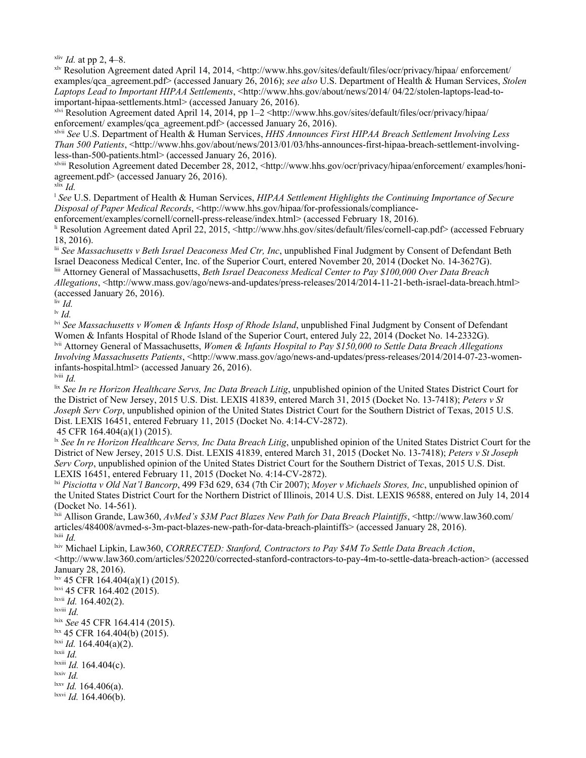$x$ liv *Id.* at pp 2, 4–8.

xlv Resolution Agreement dated April 14, 2014, <http://www.hhs.gov/sites/default/files/ocr/privacy/hipaa/ enforcement/ examples/qca\_agreement.pdf> (accessed January 26, 2016); *see also* U.S. Department of Health & Human Services, *Stolen*  Laptops Lead to Important HIPAA Settlements, <http://www.hhs.gov/about/news/2014/ 04/22/stolen-laptops-lead-toimportant-hipaa-settlements.html> (accessed January 26, 2016).

xlvi Resolution Agreement dated April 14, 2014, pp 1–2 <http://www.hhs.gov/sites/default/files/ocr/privacy/hipaa/ enforcement/ examples/qca\_agreement.pdf> (accessed January 26, 2016).

xlvii *See* U.S. Department of Health & Human Services, *HHS Announces First HIPAA Breach Settlement Involving Less Than 500 Patients*, <http://www.hhs.gov/about/news/2013/01/03/hhs-announces-first-hipaa-breach-settlement-involvingless-than-500-patients.html> (accessed January 26, 2016).

 $x^{\text{kviii}}$  Resolution Agreement dated December 28, 2012,  $\lt$ http://www.hhs.gov/ocr/privacy/hipaa/enforcement/ examples/honiagreement.pdf> (accessed January 26, 2016).

xlix *Id.*

<sup>l</sup> *See* U.S. Department of Health & Human Services, *HIPAA Settlement Highlights the Continuing Importance of Secure Disposal of Paper Medical Records*, <http://www.hhs.gov/hipaa/for-professionals/compliance-

enforcement/examples/cornell/cornell-press-release/index.html> (accessed February 18, 2016).

li Resolution Agreement dated April 22, 2015, <http://www.hhs.gov/sites/default/files/cornell-cap.pdf> (accessed February 18, 2016).

lii *See Massachusetts v Beth Israel Deaconess Med Ctr, Inc*, unpublished Final Judgment by Consent of Defendant Beth Israel Deaconess Medical Center, Inc. of the Superior Court, entered November 20, 2014 (Docket No. 14-3627G). liii Attorney General of Massachusetts, *Beth Israel Deaconess Medical Center to Pay \$100,000 Over Data Breach* 

*Allegations*, <http://www.mass.gov/ago/news-and-updates/press-releases/2014/2014-11-21-beth-israel-data-breach.html> (accessed January 26, 2016).

liv *Id.*

lv *Id.*

lvi *See Massachusetts v Women & Infants Hosp of Rhode Island*, unpublished Final Judgment by Consent of Defendant Women & Infants Hospital of Rhode Island of the Superior Court, entered July 22, 2014 (Docket No. 14-2332G). lvii Attorney General of Massachusetts, *Women & Infants Hospital to Pay \$150,000 to Settle Data Breach Allegations Involving Massachusetts Patients*, <http://www.mass.gov/ago/news-and-updates/press-releases/2014/2014-07-23-womeninfants-hospital.html> (accessed January 26, 2016).

lviii *Id.*

lix *See In re Horizon Healthcare Servs, Inc Data Breach Litig*, unpublished opinion of the United States District Court for the District of New Jersey, 2015 U.S. Dist. LEXIS 41839, entered March 31, 2015 (Docket No. 13-7418); *Peters v St Joseph Serv Corp*, unpublished opinion of the United States District Court for the Southern District of Texas, 2015 U.S. Dist. LEXIS 16451, entered February 11, 2015 (Docket No. 4:14-CV-2872).

45 CFR 164.404(a)(1) (2015).

<sup>lx</sup> See In re Horizon Healthcare Servs, Inc Data Breach Litig, unpublished opinion of the United States District Court for the District of New Jersey, 2015 U.S. Dist. LEXIS 41839, entered March 31, 2015 (Docket No. 13-7418); *Peters v St Joseph Serv Corp*, unpublished opinion of the United States District Court for the Southern District of Texas, 2015 U.S. Dist. LEXIS 16451, entered February 11, 2015 (Docket No. 4:14-CV-2872).

lxi *Pisciotta v Old Nat'l Bancorp*, 499 F3d 629, 634 (7th Cir 2007); *Moyer v Michaels Stores, Inc*, unpublished opinion of the United States District Court for the Northern District of Illinois, 2014 U.S. Dist. LEXIS 96588, entered on July 14, 2014 (Docket No. 14-561).

lxii Allison Grande, Law360, *AvMed's \$3M Pact Blazes New Path for Data Breach Plaintiffs*, <http://www.law360.com/ articles/484008/avmed-s-3m-pact-blazes-new-path-for-data-breach-plaintiffs> (accessed January 28, 2016). lxiii *Id.*

lxiv Michael Lipkin, Law360, *CORRECTED: Stanford, Contractors to Pay \$4M To Settle Data Breach Action*, <http://www.law360.com/articles/520220/corrected-stanford-contractors-to-pay-4m-to-settle-data-breach-action> (accessed January 28, 2016).

 $\frac{\text{law}}{45}$  CFR 164.404(a)(1) (2015). lxvi 45 CFR 164.402 (2015). lxvii *Id.* 164.402(2). lxviii *Id.* lxix *See* 45 CFR 164.414 (2015).  $\frac{\text{lxx}}{245}$  CFR 164.404(b) (2015).  $\frac{\ln x}{\ln a}$  *Id.* 164.404(a)(2). lxxii *Id.* lxxiii *Id.* 164.404(c). lxxiv *Id.* lxxv *Id.* 164.406(a). lxxvi *Id.* 164.406(b).